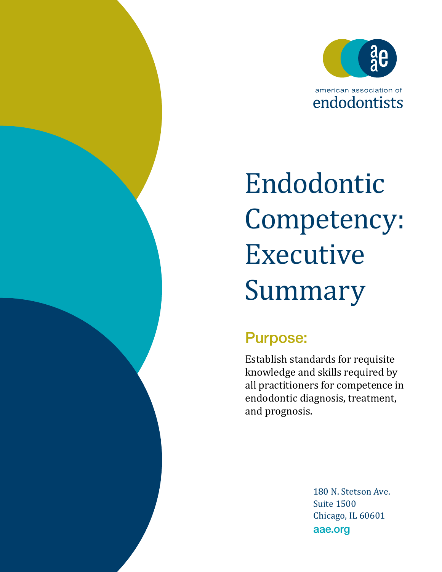

# Endodontic Competency: Executive Summary

## Purpose:

Establish standards for requisite knowledge and skills required by all practitioners for competence in endodontic diagnosis, treatment, and prognosis.

> 180 N. Stetson Ave. Suite 1500 Chicago, IL 60601 aae.org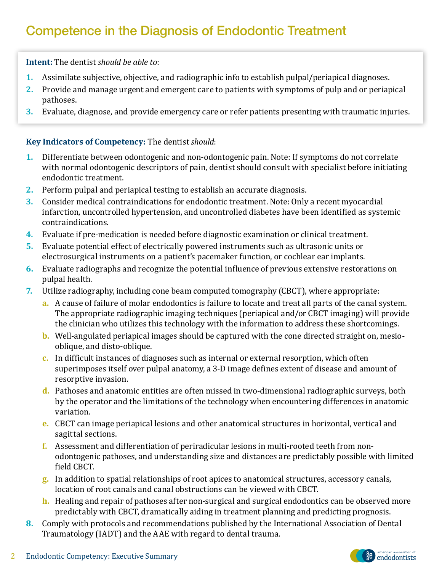## Competence in the Diagnosis of Endodontic Treatment

**Intent:** The dentist *should be able to*:

- **1.** Assimilate subjective, objective, and radiographic info to establish pulpal/periapical diagnoses.
- **2.** Provide and manage urgent and emergent care to patients with symptoms of pulp and or periapical pathoses.
- **3.** Evaluate, diagnose, and provide emergency care or refer patients presenting with traumatic injuries.

#### **Key Indicators of Competency:** The dentist *should*:

- **1.** Differentiate between odontogenic and non-odontogenic pain. Note: If symptoms do not correlate with normal odontogenic descriptors of pain, dentist should consult with specialist before initiating endodontic treatment.
- **2.** Perform pulpal and periapical testing to establish an accurate diagnosis.
- **3.** Consider medical contraindications for endodontic treatment. Note: Only a recent myocardial infarction, uncontrolled hypertension, and uncontrolled diabetes have been identified as systemic contraindications.
- **4.** Evaluate if pre-medication is needed before diagnostic examination or clinical treatment.
- **5.** Evaluate potential effect of electrically powered instruments such as ultrasonic units or electrosurgical instruments on a patient's pacemaker function, or cochlear ear implants.
- **6.** Evaluate radiographs and recognize the potential influence of previous extensive restorations on pulpal health.
- **7.** Utilize radiography, including cone beam computed tomography (CBCT), where appropriate:
	- **a.** A cause of failure of molar endodontics is failure to locate and treat all parts of the canal system. The appropriate radiographic imaging techniques (periapical and/or CBCT imaging) will provide the clinician who utilizes this technology with the information to address these shortcomings.
	- **b.** Well-angulated periapical images should be captured with the cone directed straight on, mesiooblique, and disto-oblique.
	- **c.** In difficult instances of diagnoses such as internal or external resorption, which often superimposes itself over pulpal anatomy, a 3-D image defines extent of disease and amount of resorptive invasion.
	- **d.** Pathoses and anatomic entities are often missed in two-dimensional radiographic surveys, both by the operator and the limitations of the technology when encountering differences in anatomic variation.
	- **e.** CBCT can image periapical lesions and other anatomical structures in horizontal, vertical and sagittal sections.
	- **f.** Assessment and differentiation of periradicular lesions in multi-rooted teeth from nonodontogenic pathoses, and understanding size and distances are predictably possible with limited field CBCT.
	- **g.** In addition to spatial relationships of root apices to anatomical structures, accessory canals, location of root canals and canal obstructions can be viewed with CBCT.
	- **h.** Healing and repair of pathoses after non-surgical and surgical endodontics can be observed more predictably with CBCT, dramatically aiding in treatment planning and predicting prognosis.
- **8.** Comply with protocols and recommendations published by the International Association of Dental Traumatology (IADT) and the AAE with regard to dental trauma.

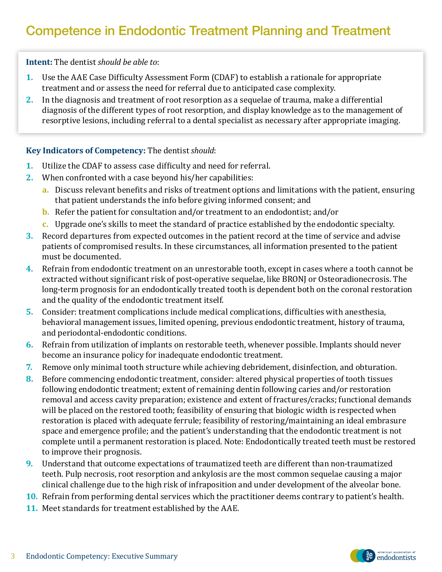**Intent:** The dentist *should be able to*:

- **1.** Use the AAE Case Difficulty Assessment Form (CDAF) to establish a rationale for appropriate treatment and or assess the need for referral due to anticipated case complexity.
- **2.** In the diagnosis and treatment of root resorption as a sequelae of trauma, make a differential diagnosis of the different types of root resorption, and display knowledge as to the management of resorptive lesions, including referral to a dental specialist as necessary after appropriate imaging.

#### **Key Indicators of Competency:** The dentist *should*:

- **1.** Utilize the CDAF to assess case difficulty and need for referral.
- **2.** When confronted with a case beyond his/her capabilities:
	- **a.** Discuss relevant benefits and risks of treatment options and limitations with the patient, ensuring that patient understands the info before giving informed consent; and
	- **b.** Refer the patient for consultation and/or treatment to an endodontist; and/or
	- **c.** Upgrade one's skills to meet the standard of practice established by the endodontic specialty.
- **3.** Record departures from expected outcomes in the patient record at the time of service and advise patients of compromised results. In these circumstances, all information presented to the patient must be documented.
- **4.** Refrain from endodontic treatment on an unrestorable tooth, except in cases where a tooth cannot be extracted without significant risk of post-operative sequelae, like BRONJ or Osteoradionecrosis. The long-term prognosis for an endodontically treated tooth is dependent both on the coronal restoration and the quality of the endodontic treatment itself.
- **5.** Consider: treatment complications include medical complications, difficulties with anesthesia, behavioral management issues, limited opening, previous endodontic treatment, history of trauma, and periodontal-endodontic conditions.
- **6.** Refrain from utilization of implants on restorable teeth, whenever possible. Implants should never become an insurance policy for inadequate endodontic treatment.
- **7.** Remove only minimal tooth structure while achieving debridement, disinfection, and obturation.
- **8.** Before commencing endodontic treatment, consider: altered physical properties of tooth tissues following endodontic treatment; extent of remaining dentin following caries and/or restoration removal and access cavity preparation; existence and extent of fractures/cracks; functional demands will be placed on the restored tooth; feasibility of ensuring that biologic width is respected when restoration is placed with adequate ferrule; feasibility of restoring/maintaining an ideal embrasure space and emergence profile; and the patient's understanding that the endodontic treatment is not complete until a permanent restoration is placed. Note: Endodontically treated teeth must be restored to improve their prognosis.
- **9.** Understand that outcome expectations of traumatized teeth are different than non-traumatized teeth. Pulp necrosis, root resorption and ankylosis are the most common sequelae causing a major clinical challenge due to the high risk of infraposition and under development of the alveolar bone.
- **10.** Refrain from performing dental services which the practitioner deems contrary to patient's health.
- **11.** Meet standards for treatment established by the AAE.

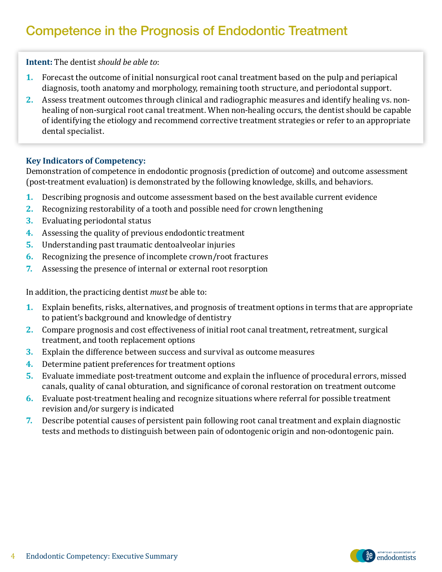## Competence in the Prognosis of Endodontic Treatment

**Intent:** The dentist *should be able to*:

- **1.** Forecast the outcome of initial nonsurgical root canal treatment based on the pulp and periapical diagnosis, tooth anatomy and morphology, remaining tooth structure, and periodontal support.
- **2.** Assess treatment outcomes through clinical and radiographic measures and identify healing vs. nonhealing of non-surgical root canal treatment. When non-healing occurs, the dentist should be capable of identifying the etiology and recommend corrective treatment strategies or refer to an appropriate dental specialist.

#### **Key Indicators of Competency:**

Demonstration of competence in endodontic prognosis (prediction of outcome) and outcome assessment (post-treatment evaluation) is demonstrated by the following knowledge, skills, and behaviors.

- **1.** Describing prognosis and outcome assessment based on the best available current evidence
- **2.** Recognizing restorability of a tooth and possible need for crown lengthening
- **3.** Evaluating periodontal status
- **4.** Assessing the quality of previous endodontic treatment
- **5.** Understanding past traumatic dentoalveolar injuries
- **6.** Recognizing the presence of incomplete crown/root fractures
- **7.** Assessing the presence of internal or external root resorption

In addition, the practicing dentist *must* be able to:

- **1.** Explain benefits, risks, alternatives, and prognosis of treatment options in terms that are appropriate to patient's background and knowledge of dentistry
- **2.** Compare prognosis and cost effectiveness of initial root canal treatment, retreatment, surgical treatment, and tooth replacement options
- **3.** Explain the difference between success and survival as outcome measures
- **4.** Determine patient preferences for treatment options
- **5.** Evaluate immediate post-treatment outcome and explain the influence of procedural errors, missed canals, quality of canal obturation, and significance of coronal restoration on treatment outcome
- **6.** Evaluate post-treatment healing and recognize situations where referral for possible treatment revision and/or surgery is indicated
- **7.** Describe potential causes of persistent pain following root canal treatment and explain diagnostic tests and methods to distinguish between pain of odontogenic origin and non-odontogenic pain.



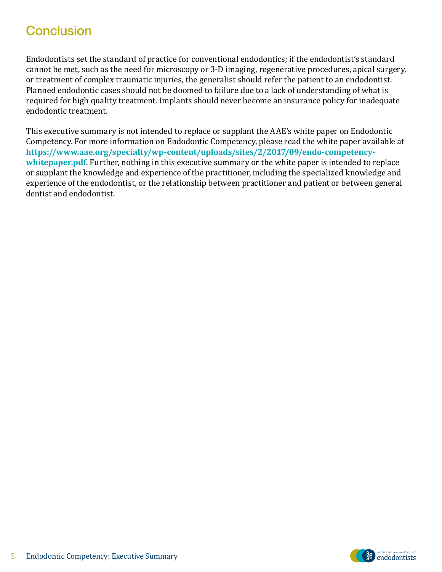### **Conclusion**

Endodontists set the standard of practice for conventional endodontics; if the endodontist's standard cannot be met, such as the need for microscopy or 3-D imaging, regenerative procedures, apical surgery, or treatment of complex traumatic injuries, the generalist should refer the patient to an endodontist. Planned endodontic cases should not be doomed to failure due to a lack of understanding of what is required for high quality treatment. Implants should never become an insurance policy for inadequate endodontic treatment.

This executive summary is not intended to replace or supplant the AAE's white paper on Endodontic Competency. For more information on Endodontic Competency, please read the white paper available at **https://www.aae.org/specialty/wp-content/uploads/sites/2/2017/09/endo-competencywhitepaper.pdf**. Further, nothing in this executive summary or the white paper is intended to replace or supplant the knowledge and experience of the practitioner, including the specialized knowledge and experience of the endodontist, or the relationship between practitioner and patient or between general dentist and endodontist.